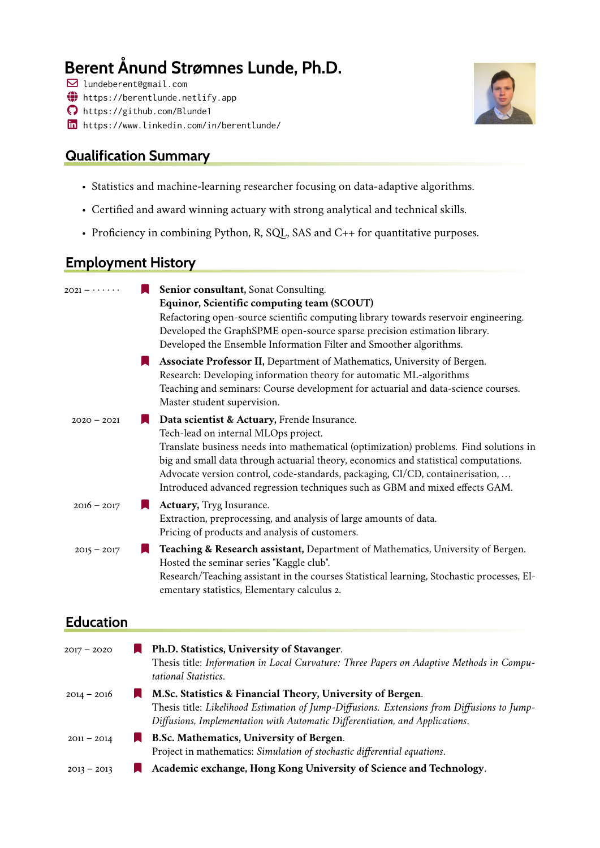# **Berent Ånund Strømnes Lunde, Ph.D.**

- ! lundeberent@gmail.com
- $\bigoplus$  <https://berentlunde.netlify.app>
- $\bigcap$  <https://github.com/Blunde1>
- in <https://www.linkedin.com/in/berentlunde/>

### **Qualification Summary**



- Statistics and machine-learning researcher focusing on data-adaptive algorithms.
- Certified and award winning actuary with strong analytical and technical skills.
- Proficiency in combining Python, R, SQL, SAS and C++ for quantitative purposes.

### **Employment History**

| $2021 - \cdots$  | Senior consultant, Sonat Consulting.<br>Equinor, Scientific computing team (SCOUT)<br>Refactoring open-source scientific computing library towards reservoir engineering.<br>Developed the GraphSPME open-source sparse precision estimation library.<br>Developed the Ensemble Information Filter and Smoother algorithms.                                                                                                           |
|------------------|---------------------------------------------------------------------------------------------------------------------------------------------------------------------------------------------------------------------------------------------------------------------------------------------------------------------------------------------------------------------------------------------------------------------------------------|
|                  | Associate Professor II, Department of Mathematics, University of Bergen.<br>Research: Developing information theory for automatic ML-algorithms<br>Teaching and seminars: Course development for actuarial and data-science courses.<br>Master student supervision.                                                                                                                                                                   |
| $2020 - 2021$    | Data scientist & Actuary, Frende Insurance.<br>Tech-lead on internal MLOps project.<br>Translate business needs into mathematical (optimization) problems. Find solutions in<br>big and small data through actuarial theory, economics and statistical computations.<br>Advocate version control, code-standards, packaging, CI/CD, containerisation,<br>Introduced advanced regression techniques such as GBM and mixed effects GAM. |
| $2016 - 2017$    | Actuary, Tryg Insurance.<br>IJ.<br>Extraction, preprocessing, and analysis of large amounts of data.<br>Pricing of products and analysis of customers.                                                                                                                                                                                                                                                                                |
| $2015 - 2017$    | Teaching & Research assistant, Department of Mathematics, University of Bergen.<br>Hosted the seminar series "Kaggle club".<br>Research/Teaching assistant in the courses Statistical learning, Stochastic processes, El-<br>ementary statistics, Elementary calculus 2.                                                                                                                                                              |
| <b>Education</b> |                                                                                                                                                                                                                                                                                                                                                                                                                                       |
| $2017 - 2020$    | Ph.D. Statistics, University of Stavanger.<br>Theoic title: Information in Local Compating: Three Danges on Adaptive Mathodo in Compu                                                                                                                                                                                                                                                                                                 |

|               | Thesis title: Information in Local Curvature: Three Papers on Adaptive Methods in Compu-<br>tational Statistics. |
|---------------|------------------------------------------------------------------------------------------------------------------|
| 2014 – 2016   | M.Sc. Statistics & Financial Theory, University of Bergen.                                                       |
|               | Thesis title: Likelihood Estimation of Jump-Diffusions. Extensions from Diffusions to Jump-                      |
|               | Diffusions, Implementation with Automatic Differentiation, and Applications.                                     |
| $2011 - 2014$ | <b>B.Sc. Mathematics, University of Bergen.</b>                                                                  |
|               | Project in mathematics: Simulation of stochastic differential equations.                                         |

2013 – 2013 [ **Academic exchange, Hong Kong University of Science and Technology**.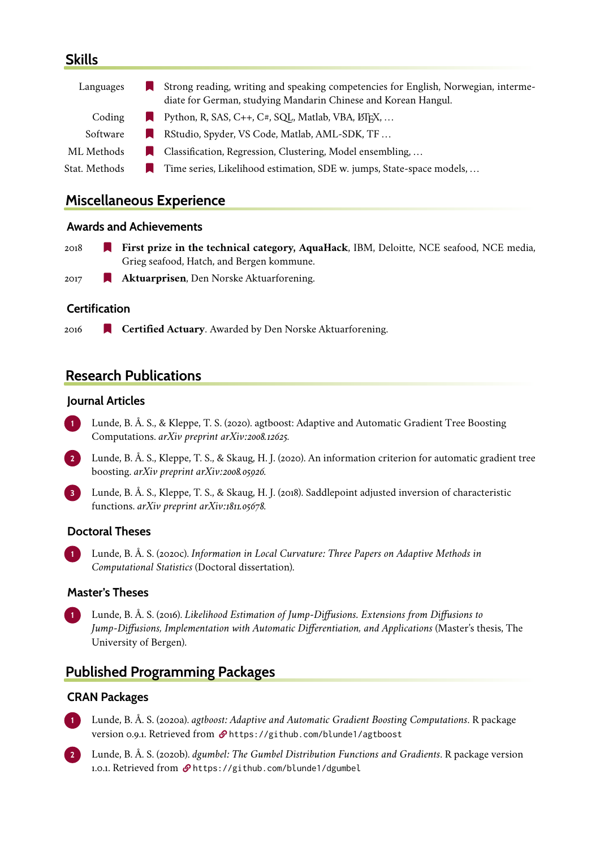### **Skills**

| Languages     | Strong reading, writing and speaking competencies for English, Norwegian, interme- |
|---------------|------------------------------------------------------------------------------------|
|               | diate for German, studying Mandarin Chinese and Korean Hangul.                     |
| Coding        | Python, R, SAS, C++, C#, SQL, Matlab, VBA, $\text{MFRX}, \ldots$                   |
| Software      | RStudio, Spyder, VS Code, Matlab, AML-SDK, TF                                      |
| ML Methods    | Classification, Regression, Clustering, Model ensembling,                          |
| Stat. Methods | Time series, Likelihood estimation, SDE w. jumps, State-space models,              |
|               |                                                                                    |

### **Miscellaneous Experience**

#### **Awards and Achievements**

- 2018 [ **First prize in the technical category, AquaHack**, IBM, Deloitte, NCE seafood, NCE media, Grieg seafood, Hatch, and Bergen kommune.
- 2017 [ **Aktuarprisen**, Den Norske Aktuarforening.

#### **Certification**

2016 **Certified Actuary**. Awarded by Den Norske Aktuarforening.

### **Research Publications**

#### **Journal Articles**

- **1** Lunde, B. Å. S., & Kleppe, T. S. (2020). agtboost: Adaptive and Automatic Gradient Tree Boosting Computations. *arXiv preprint arXiv:2008.12625*.
- **2** Lunde, B. Å. S., Kleppe, T. S., & Skaug, H. J. (2020). An information criterion for automatic gradient tree boosting. *arXiv preprint arXiv:2008.05926*.
- **3** Lunde, B. Å. S., Kleppe, T. S., & Skaug, H. J. (2018). Saddlepoint adjusted inversion of characteristic functions. *arXiv preprint arXiv:1811.05678*.

#### **Doctoral Theses**

**1** Lunde, B. Å. S. (2020c). *Information in Local Curvature: Three Papers on Adaptive Methods in Computational Statistics* (Doctoral dissertation).

#### **Master's Theses**

**1** Lunde, B. Å. S. (2016). *Likelihood Estimation of Jump-Diffusions. Extensions from Diffusions to Jump-Diffusions, Implementation with Automatic Differentiation, and Applications* (Master's thesis, The University of Bergen).

### **Published Programming Packages**

#### **CRAN Packages**

- **1** Lunde, B. Å. S. (2020a). *agtboost: Adaptive and Automatic Gradient Boosting Computations*. R package version 0.9.1. Retrieved from  $\mathcal{P}$  <https://github.com/blunde1/agtboost>
- **2** Lunde, B. Å. S. (2020b). *dgumbel: The Gumbel Distribution Functions and Gradients*. R package version 1.0.1. Retrieved from  $\mathcal{P}$  <https://github.com/blunde1/dgumbel>